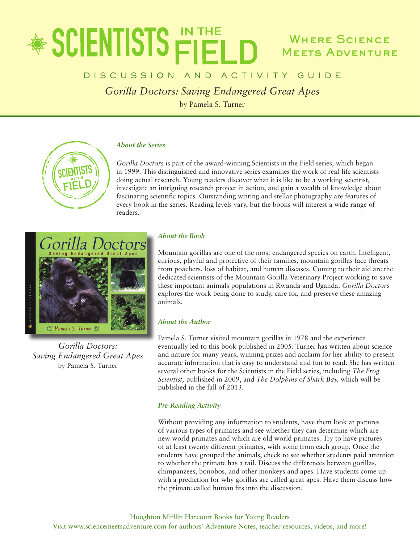### **参SCIENTISTS FIELI** Where Science **MEETS ADVENTURE**

### D I S C U S S I O N A N D A C T I V I T Y G U I D E

*Gorilla Doctors: Saving Endangered Great Apes*

by Pamela S. Turner

#### *About the Series*

*Gorilla Doctors* is part of the award-winning Scientists in the Field series, which began in 1999. This distinguished and innovative series examines the work of real-life scientists doing actual research. Young readers discover what it is like to be a working scientist, investigate an intriguing research project in action, and gain a wealth of knowledge about fascinating scientific topics. Outstanding writing and stellar photography are features of every book in the series. Reading levels vary, but the books will interest a wide range of readers.



*Gorilla Doctors: Saving Endangered Great Apes* by Pamela S. Turner

#### *About the Book*

Mountain gorillas are one of the most endangered species on earth. Intelligent, curious, playful and protective of their families, mountain gorillas face threats from poachers, loss of habitat, and human diseases. Coming to their aid are the dedicated scientists of the Mountain Gorilla Veterinary Project working to save these important animals populations in Rwanda and Uganda. *Gorilla Doctors* explores the work being done to study, care for, and preserve these amazing animals.

#### *About the Author*

Pamela S. Turner visited mountain gorillas in 1978 and the experience eventually led to this book published in 2005. Turner has written about science and nature for many years, winning prizes and acclaim for her ability to present accurate information that is easy to understand and fun to read. She has written several other books for the Scientists in the Field series, including *The Frog Scientist,* published in 2009, and *The Dolphins of Shark Bay,* which will be published in the fall of 2013.

#### *Pre-Reading Activity*

Without providing any information to students, have them look at pictures of various types of primates and see whether they can determine which are new world primates and which are old world primates. Try to have pictures of at least twenty different primates, with some from each group. Once the students have grouped the animals, check to see whether students paid attention to whether the primate has a tail. Discuss the differences between gorillas, chimpanzees, bonobos, and other monkeys and apes. Have students come up with a prediction for why gorillas are called great apes. Have them discuss how the primate called human fits into the discussion.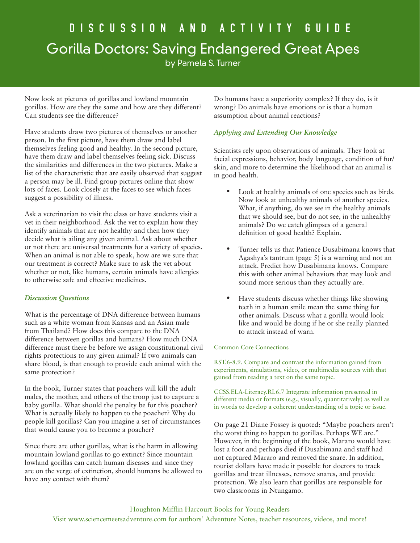# D i s c u s s i o n a n d a c t i v i t y G u i d e Gorilla Doctors: Saving Endangered Great Apes

by Pamela S. Turner

Now look at pictures of gorillas and lowland mountain gorillas. How are they the same and how are they different? Can students see the difference?

Have students draw two pictures of themselves or another person. In the first picture, have them draw and label themselves feeling good and healthy. In the second picture, have them draw and label themselves feeling sick. Discuss the similarities and differences in the two pictures. Make a list of the characteristic that are easily observed that suggest a person may be ill. Find group pictures online that show lots of faces. Look closely at the faces to see which faces suggest a possibility of illness.

Ask a veterinarian to visit the class or have students visit a vet in their neighborhood. Ask the vet to explain how they identify animals that are not healthy and then how they decide what is ailing any given animal. Ask about whether or not there are universal treatments for a variety of species. When an animal is not able to speak, how are we sure that our treatment is correct? Make sure to ask the vet about whether or not, like humans, certain animals have allergies to otherwise safe and effective medicines.

#### *Discussion Questions*

What is the percentage of DNA difference between humans such as a white woman from Kansas and an Asian male from Thailand? How does this compare to the DNA difference between gorillas and humans? How much DNA difference must there be before we assign constitutional civil rights protections to any given animal? If two animals can share blood, is that enough to provide each animal with the same protection?

In the book, Turner states that poachers will kill the adult males, the mother, and others of the troop just to capture a baby gorilla. What should the penalty be for this poacher? What is actually likely to happen to the poacher? Why do people kill gorillas? Can you imagine a set of circumstances that would cause you to become a poacher?

Since there are other gorillas, what is the harm in allowing mountain lowland gorillas to go extinct? Since mountain lowland gorillas can catch human diseases and since they are on the verge of extinction, should humans be allowed to have any contact with them?

Do humans have a superiority complex? If they do, is it wrong? Do animals have emotions or is that a human assumption about animal reactions?

#### *Applying and Extending Our Knowledge*

Scientists rely upon observations of animals. They look at facial expressions, behavior, body language, condition of fur/ skin, and more to determine the likelihood that an animal is in good health.

- Look at healthy animals of one species such as birds. Now look at unhealthy animals of another species. What, if anything, do we see in the healthy animals that we should see, but do not see, in the unhealthy animals? Do we catch glimpses of a general definition of good health? Explain.
- Turner tells us that Patience Dusabimana knows that Agashya's tantrum (page 5) is a warning and not an attack. Predict how Dusabimana knows. Compare this with other animal behaviors that may look and sound more serious than they actually are.
- Have students discuss whether things like showing teeth in a human smile mean the same thing for other animals. Discuss what a gorilla would look like and would be doing if he or she really planned to attack instead of warn.

#### Common Core Connections

RST.6-8.9. Compare and contrast the information gained from experiments, simulations, video, or multimedia sources with that gained from reading a text on the same topic.

CCSS.ELA-Literacy.RI.6.7 Integrate information presented in different media or formats (e.g., visually, quantitatively) as well as in words to develop a coherent understanding of a topic or issue.

On page 21 Diane Fossey is quoted: "Maybe poachers aren't the worst thing to happen to gorillas. Perhaps WE are." However, in the beginning of the book, Mararo would have lost a foot and perhaps died if Dusabimana and staff had not captured Mararo and removed the snare. In addition, tourist dollars have made it possible for doctors to track gorillas and treat illnesses, remove snares, and provide protection. We also learn that gorillas are responsible for two classrooms in Ntungamo.